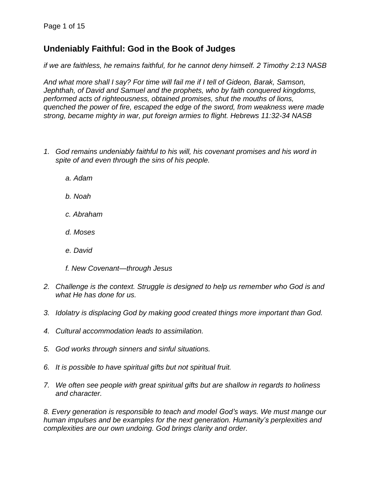# **Undeniably Faithful: God in the Book of Judges**

*if we are faithless, he remains faithful, for he cannot deny himself. 2 Timothy 2:13 NASB*

*And what more shall I say? For time will fail me if I tell of Gideon, Barak, Samson, Jephthah, of David and Samuel and the prophets, who by faith conquered kingdoms, performed acts of righteousness, obtained promises, shut the mouths of lions, quenched the power of fire, escaped the edge of the sword, from weakness were made strong, became mighty in war, put foreign armies to flight. Hebrews 11:32-34 NASB*

- *1. God remains undeniably faithful to his will, his covenant promises and his word in spite of and even through the sins of his people.*
	- *a. Adam*
	- *b. Noah*
	- *c. Abraham*
	- *d. Moses*
	- *e. David*
	- *f. New Covenant—through Jesus*
- *2. Challenge is the context. Struggle is designed to help us remember who God is and what He has done for us.*
- *3. Idolatry is displacing God by making good created things more important than God.*
- *4. Cultural accommodation leads to assimilation.*
- *5. God works through sinners and sinful situations.*
- *6. It is possible to have spiritual gifts but not spiritual fruit.*
- *7. We often see people with great spiritual gifts but are shallow in regards to holiness and character.*

*8. Every generation is responsible to teach and model God's ways. We must mange our human impulses and be examples for the next generation. Humanity's perplexities and complexities are our own undoing. God brings clarity and order.*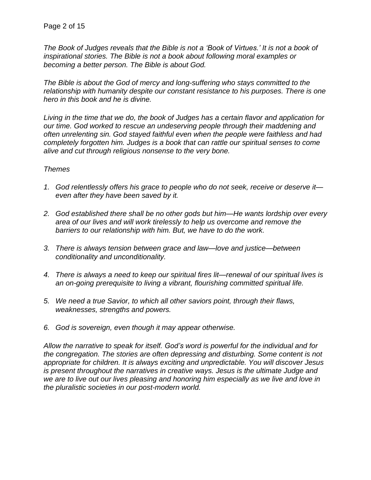The Book of Judges reveals that the Bible is not a 'Book of Virtues.' It is not a book of *inspirational stories. The Bible is not a book about following moral examples or becoming a better person. The Bible is about God.*

*The Bible is about the God of mercy and long-suffering who stays committed to the relationship with humanity despite our constant resistance to his purposes. There is one hero in this book and he is divine.*

*Living in the time that we do, the book of Judges has a certain flavor and application for our time. God worked to rescue an undeserving people through their maddening and often unrelenting sin. God stayed faithful even when the people were faithless and had completely forgotten him. Judges is a book that can rattle our spiritual senses to come alive and cut through religious nonsense to the very bone.*

# *Themes*

- *1. God relentlessly offers his grace to people who do not seek, receive or deserve it even after they have been saved by it.*
- *2. God established there shall be no other gods but him—He wants lordship over every area of our lives and will work tirelessly to help us overcome and remove the barriers to our relationship with him. But, we have to do the work.*
- *3. There is always tension between grace and law—love and justice—between conditionality and unconditionality.*
- *4. There is always a need to keep our spiritual fires lit—renewal of our spiritual lives is an on-going prerequisite to living a vibrant, flourishing committed spiritual life.*
- *5. We need a true Savior, to which all other saviors point, through their flaws, weaknesses, strengths and powers.*
- *6. God is sovereign, even though it may appear otherwise.*

*Allow the narrative to speak for itself. God's word is powerful for the individual and for the congregation. The stories are often depressing and disturbing. Some content is not appropriate for children. It is always exciting and unpredictable. You will discover Jesus is present throughout the narratives in creative ways. Jesus is the ultimate Judge and we are to live out our lives pleasing and honoring him especially as we live and love in the pluralistic societies in our post-modern world.*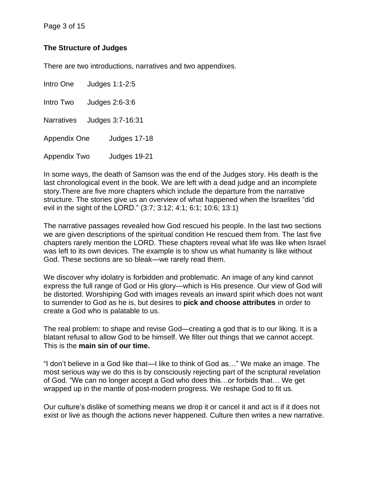# **The Structure of Judges**

There are two introductions, narratives and two appendixes.

Intro One Judges 1:1-2:5 Intro Two Judges 2:6-3:6 Narratives Judges 3:7-16:31 Appendix One Judges 17-18 Appendix Two Judges 19-21

In some ways, the death of Samson was the end of the Judges story. His death is the last chronological event in the book. We are left with a dead judge and an incomplete story.There are five more chapters which include the departure from the narrative structure. The stories give us an overview of what happened when the Israelites "did evil in the sight of the LORD." (3:7; 3:12; 4:1; 6:1; 10:6; 13:1)

The narrative passages revealed how God rescued his people. In the last two sections we are given descriptions of the spiritual condition He rescued them from. The last five chapters rarely mention the LORD. These chapters reveal what life was like when Israel was left to its own devices. The example is to show us what humanity is like without God. These sections are so bleak—we rarely read them.

We discover why idolatry is forbidden and problematic. An image of any kind cannot express the full range of God or His glory—which is His presence. Our view of God will be distorted. Worshiping God with images reveals an inward spirit which does not want to surrender to God as he is, but desires to **pick and choose attributes** in order to create a God who is palatable to us.

The real problem: to shape and revise God—creating a god that is to our liking. It is a blatant refusal to allow God to be himself. We filter out things that we cannot accept. This is the **main sin of our time.**

"I don't believe in a God like that—I like to think of God as…" We make an image. The most serious way we do this is by consciously rejecting part of the scriptural revelation of God. "We can no longer accept a God who does this…or forbids that… We get wrapped up in the mantle of post-modern progress. We reshape God to fit us.

Our culture's dislike of something means we drop it or cancel it and act is if it does not exist or live as though the actions never happened. Culture then writes a new narrative.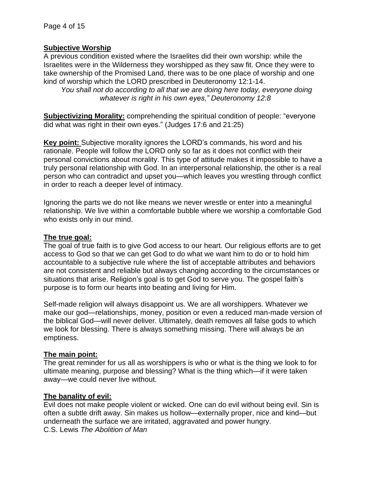# **Subjective Worship**

A previous condition existed where the Israelites did their own worship: while the Israelites were in the Wilderness they worshipped as they saw fit. Once they were to take ownership of the Promised Land, there was to be one place of worship and one kind of worship which the LORD prescribed in Deuteronomy 12:1-14.

*You shall not do according to all that we are doing here today, everyone doing whatever is right in his own eyes," Deuteronomy 12:8*

**Subjectivizing Morality:** comprehending the spiritual condition of people: "everyone did what was right in their own eyes." (Judges 17:6 and 21:25)

**Key point:** Subjective morality ignores the LORD's commands, his word and his rationale. People will follow the LORD only so far as it does not conflict with their personal convictions about morality. This type of attitude makes it impossible to have a truly personal relationship with God. In an interpersonal relationship, the other is a real person who can contradict and upset you—which leaves you wrestling through conflict in order to reach a deeper level of intimacy.

Ignoring the parts we do not like means we never wrestle or enter into a meaningful relationship. We live within a comfortable bubble where we worship a comfortable God who exists only in our mind.

# **The true goal:**

The goal of true faith is to give God access to our heart. Our religious efforts are to get access to God so that we can get God to do what we want him to do or to hold him accountable to a subjective rule where the list of acceptable attributes and behaviors are not consistent and reliable but always changing according to the circumstances or situations that arise. Religion's goal is to get God to serve you. The gospel faith's purpose is to form our hearts into beating and living for Him.

Self-made religion will always disappoint us. We are all worshippers. Whatever we make our god—relationships, money, position or even a reduced man-made version of the biblical God—will never deliver. Ultimately, death removes all false gods to which we look for blessing. There is always something missing. There will always be an emptiness.

# **The main point:**

The great reminder for us all as worshippers is who or what is the thing we look to for ultimate meaning, purpose and blessing? What is the thing which—if it were taken away—we could never live without.

#### **The banality of evil:**

Evil does not make people violent or wicked. One can do evil without being evil. Sin is often a subtle drift away. Sin makes us hollow—externally proper, nice and kind—but underneath the surface we are irritated, aggravated and power hungry. C.S. Lewis *The Abolition of Man*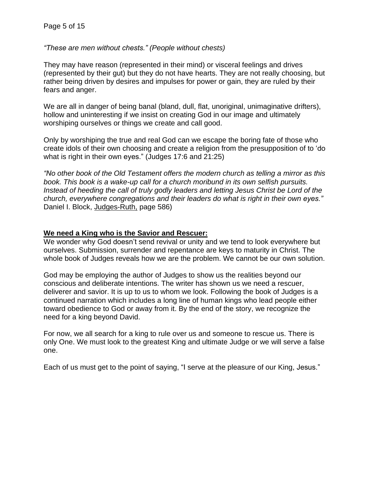*"These are men without chests." (People without chests)*

They may have reason (represented in their mind) or visceral feelings and drives (represented by their gut) but they do not have hearts. They are not really choosing, but rather being driven by desires and impulses for power or gain, they are ruled by their fears and anger.

We are all in danger of being banal (bland, dull, flat, unoriginal, unimaginative drifters), hollow and uninteresting if we insist on creating God in our image and ultimately worshiping ourselves or things we create and call good.

Only by worshiping the true and real God can we escape the boring fate of those who create idols of their own choosing and create a religion from the presupposition of to 'do what is right in their own eyes." (Judges 17:6 and 21:25)

*"No other book of the Old Testament offers the modern church as telling a mirror as this book. This book is a wake-up call for a church moribund in its own selfish pursuits. Instead of heeding the call of truly godly leaders and letting Jesus Christ be Lord of the church, everywhere congregations and their leaders do what is right in their own eyes."* Daniel I. Block, Judges-Ruth, page 586)

#### **We need a King who is the Savior and Rescuer:**

We wonder why God doesn't send revival or unity and we tend to look everywhere but ourselves. Submission, surrender and repentance are keys to maturity in Christ. The whole book of Judges reveals how we are the problem. We cannot be our own solution.

God may be employing the author of Judges to show us the realities beyond our conscious and deliberate intentions. The writer has shown us we need a rescuer, deliverer and savior. It is up to us to whom we look. Following the book of Judges is a continued narration which includes a long line of human kings who lead people either toward obedience to God or away from it. By the end of the story, we recognize the need for a king beyond David.

For now, we all search for a king to rule over us and someone to rescue us. There is only One. We must look to the greatest King and ultimate Judge or we will serve a false one.

Each of us must get to the point of saying, "I serve at the pleasure of our King, Jesus."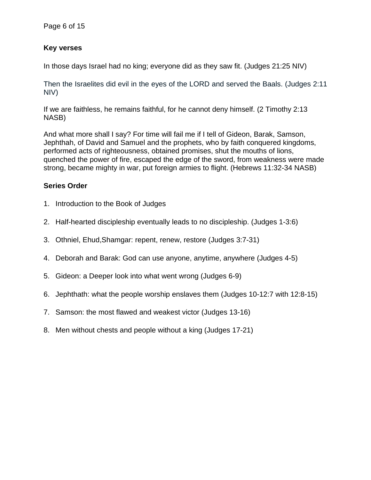# **Key verses**

In those days Israel had no king; everyone did as they saw fit. (Judges 21:25 NIV)

Then the Israelites did evil in the eyes of the LORD and served the Baals. (Judges 2:11 NIV)

If we are faithless, he remains faithful, for he cannot deny himself. (2 Timothy 2:13 NASB)

And what more shall I say? For time will fail me if I tell of Gideon, Barak, Samson, Jephthah, of David and Samuel and the prophets, who by faith conquered kingdoms, performed acts of righteousness, obtained promises, shut the mouths of lions, quenched the power of fire, escaped the edge of the sword, from weakness were made strong, became mighty in war, put foreign armies to flight. (Hebrews 11:32-34 NASB)

# **Series Order**

- 1. Introduction to the Book of Judges
- 2. Half-hearted discipleship eventually leads to no discipleship. (Judges 1-3:6)
- 3. Othniel, Ehud,Shamgar: repent, renew, restore (Judges 3:7-31)
- 4. Deborah and Barak: God can use anyone, anytime, anywhere (Judges 4-5)
- 5. Gideon: a Deeper look into what went wrong (Judges 6-9)
- 6. Jephthath: what the people worship enslaves them (Judges 10-12:7 with 12:8-15)
- 7. Samson: the most flawed and weakest victor (Judges 13-16)
- 8. Men without chests and people without a king (Judges 17-21)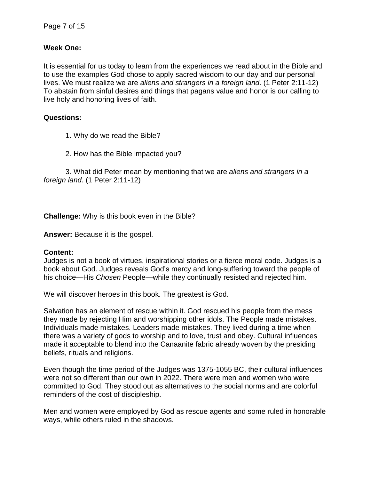#### **Week One:**

It is essential for us today to learn from the experiences we read about in the Bible and to use the examples God chose to apply sacred wisdom to our day and our personal lives. We must realize we are *aliens and strangers in a foreign land*. (1 Peter 2:11-12) To abstain from sinful desires and things that pagans value and honor is our calling to live holy and honoring lives of faith.

#### **Questions:**

- 1. Why do we read the Bible?
- 2. How has the Bible impacted you?

3. What did Peter mean by mentioning that we are *aliens and strangers in a foreign land*. (1 Peter 2:11-12)

**Challenge:** Why is this book even in the Bible?

**Answer:** Because it is the gospel.

#### **Content:**

Judges is not a book of virtues, inspirational stories or a fierce moral code. Judges is a book about God. Judges reveals God's mercy and long-suffering toward the people of his choice—His *Chosen* People—while they continually resisted and rejected him.

We will discover heroes in this book. The greatest is God.

Salvation has an element of rescue within it. God rescued his people from the mess they made by rejecting Him and worshipping other idols. The People made mistakes. Individuals made mistakes. Leaders made mistakes. They lived during a time when there was a variety of gods to worship and to love, trust and obey. Cultural influences made it acceptable to blend into the Canaanite fabric already woven by the presiding beliefs, rituals and religions.

Even though the time period of the Judges was 1375-1055 BC, their cultural influences were not so different than our own in 2022. There were men and women who were committed to God. They stood out as alternatives to the social norms and are colorful reminders of the cost of discipleship.

Men and women were employed by God as rescue agents and some ruled in honorable ways, while others ruled in the shadows.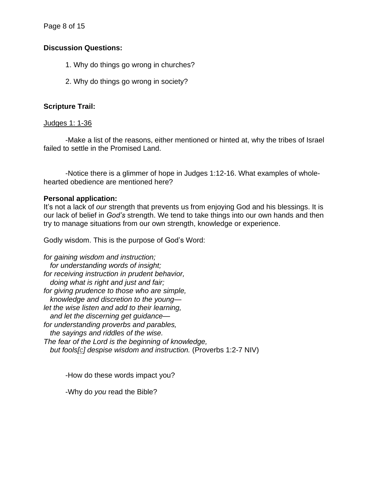Page 8 of 15

# **Discussion Questions:**

- 1. Why do things go wrong in churches?
- 2. Why do things go wrong in society?

# **Scripture Trail:**

# Judges 1: 1-36

-Make a list of the reasons, either mentioned or hinted at, why the tribes of Israel failed to settle in the Promised Land.

-Notice there is a glimmer of hope in Judges 1:12-16. What examples of wholehearted obedience are mentioned here?

# **Personal application:**

It's not a lack of *our* strength that prevents us from enjoying God and his blessings. It is our lack of belief in *God's* strength. We tend to take things into our own hands and then try to manage situations from our own strength, knowledge or experience.

Godly wisdom. This is the purpose of God's Word:

*for gaining wisdom and instruction; for understanding words of insight; for receiving instruction in prudent behavior, doing what is right and just and fair; for giving prudence to those who are simple, knowledge and discretion to the young let the wise listen and add to their learning, and let the discerning get guidance for understanding proverbs and parables, the sayings and riddles of the wise. The fear of the Lord is the beginning of knowledge, but fools[c] despise wisdom and instruction.* (Proverbs 1:2-7 NIV)

-How do these words impact you?

-Why do *you* read the Bible?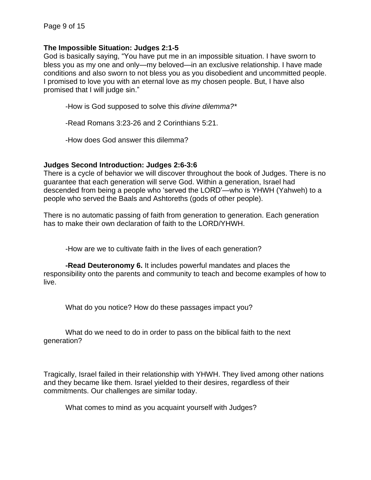#### **The Impossible Situation: Judges 2:1-5**

God is basically saying, "You have put me in an impossible situation. I have sworn to bless you as my one and only—my beloved—in an exclusive relationship. I have made conditions and also sworn to not bless you as you disobedient and uncommitted people. I promised to love you with an eternal love as my chosen people. But, I have also promised that I will judge sin."

-How is God supposed to solve this *divine dilemma?\**

-Read Romans 3:23-26 and 2 Corinthians 5:21.

-How does God answer this dilemma?

#### **Judges Second Introduction: Judges 2:6-3:6**

There is a cycle of behavior we will discover throughout the book of Judges. There is no guarantee that each generation will serve God. Within a generation, Israel had descended from being a people who 'served the LORD'—who is YHWH (Yahweh) to a people who served the Baals and Ashtoreths (gods of other people).

There is no automatic passing of faith from generation to generation. Each generation has to make their own declaration of faith to the LORD/YHWH.

-How are we to cultivate faith in the lives of each generation?

**-Read Deuteronomy 6.** It includes powerful mandates and places the responsibility onto the parents and community to teach and become examples of how to live.

What do you notice? How do these passages impact you?

What do we need to do in order to pass on the biblical faith to the next generation?

Tragically, Israel failed in their relationship with YHWH. They lived among other nations and they became like them. Israel yielded to their desires, regardless of their commitments. Our challenges are similar today.

What comes to mind as you acquaint yourself with Judges?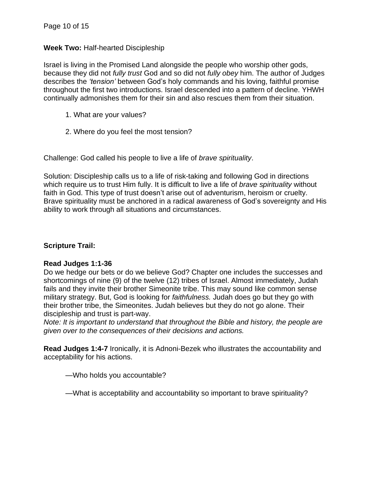# **Week Two:** Half-hearted Discipleship

Israel is living in the Promised Land alongside the people who worship other gods, because they did not *fully trust* God and so did not *fully obey* him. The author of Judges describes the *'tension'* between God's holy commands and his loving, faithful promise throughout the first two introductions. Israel descended into a pattern of decline. YHWH continually admonishes them for their sin and also rescues them from their situation.

- 1. What are your values?
- 2. Where do you feel the most tension?

Challenge: God called his people to live a life of *brave spirituality*.

Solution: Discipleship calls us to a life of risk-taking and following God in directions which require us to trust Him fully. It is difficult to live a life of *brave spirituality* without faith in God. This type of trust doesn't arise out of adventurism, heroism or cruelty. Brave spirituality must be anchored in a radical awareness of God's sovereignty and His ability to work through all situations and circumstances.

# **Scripture Trail:**

#### **Read Judges 1:1-36**

Do we hedge our bets or do we believe God? Chapter one includes the successes and shortcomings of nine (9) of the twelve (12) tribes of Israel. Almost immediately, Judah fails and they invite their brother Simeonite tribe. This may sound like common sense military strategy. But, God is looking for *faithfulness.* Judah does go but they go with their brother tribe, the Simeonites. Judah believes but they do not go alone. Their discipleship and trust is part-way.

*Note: It is important to understand that throughout the Bible and history, the people are given over to the consequences of their decisions and actions.*

**Read Judges 1:4-7** Ironically, it is Adnoni-Bezek who illustrates the accountability and acceptability for his actions.

—Who holds you accountable?

—What is acceptability and accountability so important to brave spirituality?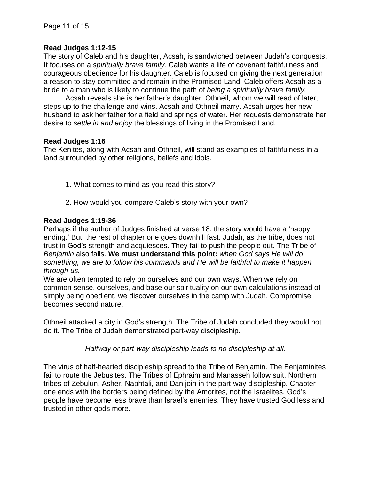#### **Read Judges 1:12-15**

The story of Caleb and his daughter, Acsah, is sandwiched between Judah's conquests. It focuses on a *spiritually brave family.* Caleb wants a life of covenant faithfulness and courageous obedience for his daughter. Caleb is focused on giving the next generation a reason to stay committed and remain in the Promised Land. Caleb offers Acsah as a bride to a man who is likely to continue the path of *being a spiritually brave family.*

Acsah reveals she is her father's daughter. Othneil, whom we will read of later, steps up to the challenge and wins. Acsah and Othneil marry. Acsah urges her new husband to ask her father for a field and springs of water. Her requests demonstrate her desire to *settle in and enjoy* the blessings of living in the Promised Land.

#### **Read Judges 1:16**

The Kenites, along with Acsah and Othneil, will stand as examples of faithfulness in a land surrounded by other religions, beliefs and idols.

- 1. What comes to mind as you read this story?
- 2. How would you compare Caleb's story with your own?

#### **Read Judges 1:19-36**

Perhaps if the author of Judges finished at verse 18, the story would have a 'happy ending.' But, the rest of chapter one goes downhill fast. Judah, as the tribe, does not trust in God's strength and acquiesces. They fail to push the people out. The Tribe of *Benjamin* also fails. **We must understand this point:** *when God says He will do something, we are to follow his commands and He will be faithful to make it happen through us.*

We are often tempted to rely on ourselves and our own ways. When we rely on common sense, ourselves, and base our spirituality on our own calculations instead of simply being obedient, we discover ourselves in the camp with Judah. Compromise becomes second nature.

Othneil attacked a city in God's strength. The Tribe of Judah concluded they would not do it. The Tribe of Judah demonstrated part-way discipleship.

*Halfway or part-way discipleship leads to no discipleship at all.*

The virus of half-hearted discipleship spread to the Tribe of Benjamin. The Benjaminites fail to route the Jebusites. The Tribes of Ephraim and Manasseh follow suit. Northern tribes of Zebulun, Asher, Naphtali, and Dan join in the part-way discipleship. Chapter one ends with the borders being defined by the Amorites, not the Israelites. God's people have become less brave than Israel's enemies. They have trusted God less and trusted in other gods more.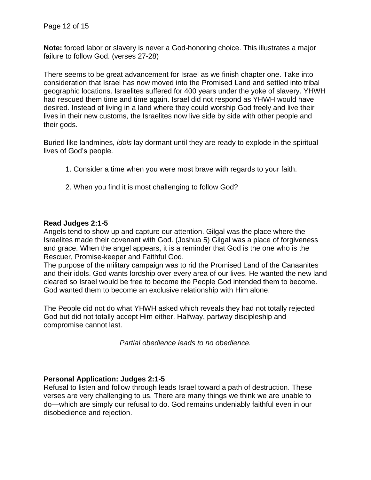**Note:** forced labor or slavery is never a God-honoring choice. This illustrates a major failure to follow God. (verses 27-28)

There seems to be great advancement for Israel as we finish chapter one. Take into consideration that Israel has now moved into the Promised Land and settled into tribal geographic locations. Israelites suffered for 400 years under the yoke of slavery. YHWH had rescued them time and time again. Israel did not respond as YHWH would have desired. Instead of living in a land where they could worship God freely and live their lives in their new customs, the Israelites now live side by side with other people and their gods.

Buried like landmines, *idols* lay dormant until they are ready to explode in the spiritual lives of God's people.

- 1. Consider a time when you were most brave with regards to your faith.
- 2. When you find it is most challenging to follow God?

#### **Read Judges 2:1-5**

Angels tend to show up and capture our attention. Gilgal was the place where the Israelites made their covenant with God. (Joshua 5) Gilgal was a place of forgiveness and grace. When the angel appears, it is a reminder that God is the one who is the Rescuer, Promise-keeper and Faithful God.

The purpose of the military campaign was to rid the Promised Land of the Canaanites and their idols. God wants lordship over every area of our lives. He wanted the new land cleared so Israel would be free to become the People God intended them to become. God wanted them to become an exclusive relationship with Him alone.

The People did not do what YHWH asked which reveals they had not totally rejected God but did not totally accept Him either. Halfway, partway discipleship and compromise cannot last.

*Partial obedience leads to no obedience.*

#### **Personal Application: Judges 2:1-5**

Refusal to listen and follow through leads Israel toward a path of destruction. These verses are very challenging to us. There are many things we think we are unable to do—which are simply our refusal to do. God remains undeniably faithful even in our disobedience and rejection.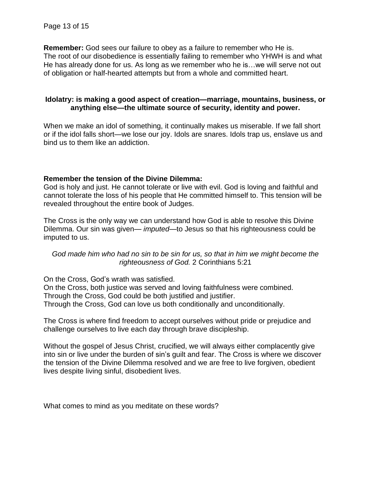**Remember:** God sees our failure to obey as a failure to remember who He is. The root of our disobedience is essentially failing to remember who YHWH is and what He has already done for us. As long as we remember who he is…we will serve not out of obligation or half-hearted attempts but from a whole and committed heart.

#### **Idolatry: is making a good aspect of creation—marriage, mountains, business, or anything else—the ultimate source of security, identity and power.**

When we make an idol of something, it continually makes us miserable. If we fall short or if the idol falls short—we lose our joy. Idols are snares. Idols trap us, enslave us and bind us to them like an addiction.

#### **Remember the tension of the Divine Dilemma:**

God is holy and just. He cannot tolerate or live with evil. God is loving and faithful and cannot tolerate the loss of his people that He committed himself to. This tension will be revealed throughout the entire book of Judges.

The Cross is the only way we can understand how God is able to resolve this Divine Dilemma. Our sin was given— *imputed*—to Jesus so that his righteousness could be imputed to us.

#### *God made him who had no sin to be sin for us, so that in him we might become the righteousness of God.* 2 Corinthians 5:21

On the Cross, God's wrath was satisfied. On the Cross, both justice was served and loving faithfulness were combined. Through the Cross, God could be both justified and justifier. Through the Cross, God can love us both conditionally and unconditionally.

The Cross is where find freedom to accept ourselves without pride or prejudice and challenge ourselves to live each day through brave discipleship.

Without the gospel of Jesus Christ, crucified, we will always either complacently give into sin or live under the burden of sin's guilt and fear. The Cross is where we discover the tension of the Divine Dilemma resolved and we are free to live forgiven, obedient lives despite living sinful, disobedient lives.

What comes to mind as you meditate on these words?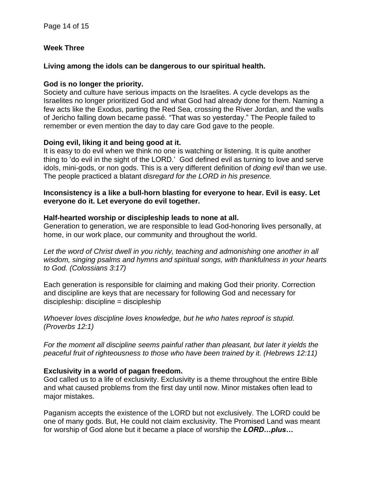# **Week Three**

### **Living among the idols can be dangerous to our spiritual health.**

# **God is no longer the priority.**

Society and culture have serious impacts on the Israelites. A cycle develops as the Israelites no longer prioritized God and what God had already done for them. Naming a few acts like the Exodus, parting the Red Sea, crossing the River Jordan, and the walls of Jericho falling down became passé. "That was so yesterday." The People failed to remember or even mention the day to day care God gave to the people.

# **Doing evil, liking it and being good at it.**

It is easy to do evil when we think no one is watching or listening. It is quite another thing to 'do evil in the sight of the LORD.' God defined evil as turning to love and serve idols, mini-gods, or non gods. This is a very different definition of *doing evil* than we use. The people practiced a blatant *disregard for the LORD in his presence.*

#### **Inconsistency is a like a bull-horn blasting for everyone to hear. Evil is easy. Let everyone do it. Let everyone do evil together.**

# **Half-hearted worship or discipleship leads to none at all.**

Generation to generation, we are responsible to lead God-honoring lives personally, at home, in our work place, our community and throughout the world.

*Let the word of Christ dwell in you richly, teaching and admonishing one another in all wisdom, singing psalms and hymns and spiritual songs, with thankfulness in your hearts to God. (Colossians 3:17)*

Each generation is responsible for claiming and making God their priority. Correction and discipline are keys that are necessary for following God and necessary for discipleship: discipline = discipleship

*Whoever loves discipline loves knowledge, but he who hates reproof is stupid. (Proverbs 12:1)*

*For the moment all discipline seems painful rather than pleasant, but later it yields the peaceful fruit of righteousness to those who have been trained by it. (Hebrews 12:11)*

# **Exclusivity in a world of pagan freedom.**

God called us to a life of exclusivity. Exclusivity is a theme throughout the entire Bible and what caused problems from the first day until now. Minor mistakes often lead to major mistakes.

Paganism accepts the existence of the LORD but not exclusively. The LORD could be one of many gods. But, He could not claim exclusivity. The Promised Land was meant for worship of God alone but it became a place of worship the *LORD…plus…*